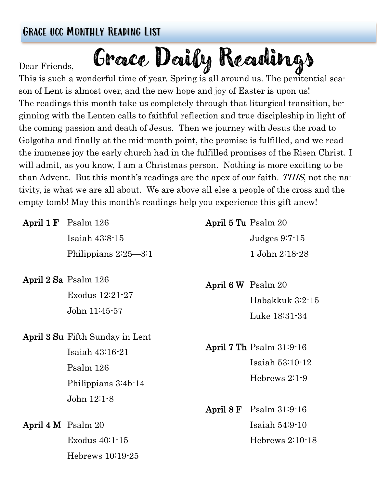# Grace ucc Monthly Reading List

#### Dear Friends,

Grace Daily Readings

This is such a wonderful time of year. Spring is all around us. The penitential season of Lent is almost over, and the new hope and joy of Easter is upon us! The readings this month take us completely through that liturgical transition, beginning with the Lenten calls to faithful reflection and true discipleship in light of the coming passion and death of Jesus. Then we journey with Jesus the road to Golgotha and finally at the mid-month point, the promise is fulfilled, and we read the immense joy the early church had in the fulfilled promises of the Risen Christ. I will admit, as you know, I am a Christmas person. Nothing is more exciting to be than Advent. But this month's readings are the apex of our faith. THIS, not the nativity, is what we are all about. We are above all else a people of the cross and the empty tomb! May this month's readings help you experience this gift anew!

|                        | April $1 \text{ F}$ Psalm $126$        | April 5 Tu Psalm 20 |                                   |
|------------------------|----------------------------------------|---------------------|-----------------------------------|
|                        | Isaiah $43:8-15$                       |                     | Judges $9:7-15$                   |
|                        | Philippians $2:25-3:1$                 |                     | 1 John 2:18-28                    |
|                        | April 2 Sa Psalm 126                   | April 6 W Psalm 20  |                                   |
|                        | Exodus $12:21-27$                      |                     | Habakkuk 3:2-15                   |
|                        | John 11:45-57                          |                     | Luke 18:31-34                     |
|                        | <b>April 3 Su Fifth Sunday in Lent</b> |                     |                                   |
|                        | Isaiah $43:16-21$                      |                     | April 7 Th Psalm 31:9-16          |
|                        | Psalm 126                              |                     | Isaiah 53:10-12                   |
|                        | Philippians 3:4b-14                    |                     | Hebrews $2:1-9$                   |
|                        | John $12:1-8$                          |                     |                                   |
|                        |                                        |                     | April $8 \text{ F}$ Psalm 31:9-16 |
| April $4 M$ Psalm $20$ |                                        |                     | Isaiah $54:9-10$                  |
|                        | Exodus $40:1-15$                       |                     | Hebrews $2:10-18$                 |
|                        | Hebrews $10:19-25$                     |                     |                                   |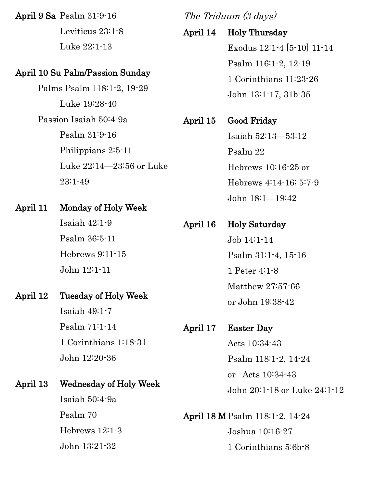April 9 Sa Psalm 31:9-16

Leviticus 23:1-8 Luke 22:1-13

#### April 10 Su Palm/Passion Sunday

Palms Psalm 118:1-2, 19-29 Luke 19:28-40 Passion Isaiah 50:4-9a Psalm 31:9-16 Philippians 2:5-11 Luke 22:14—23:56 or Luke 23:1-49

### April 11 Monday of Holy Week

Isaiah 42:1-9 Psalm 36:5-11 Hebrews 9:11-15 John 12:1-11

#### April 12 Tuesday of Holy Week

Isaiah 49:1-7 Psalm 71:1-14 1 Corinthians 1:18-31 John 12:20-36

#### April 13 Wednesday of Holy Week

Isaiah 50:4-9a Psalm 70 Hebrews 12:1-3 John 13:21-32

The Triduum (3 days)

#### April 14 Holy Thursday

Exodus 12:1-4 [5-10] 11-14 Psalm 116:1-2, 12-19 1 Corinthians 11:23-26 John 13:1-17, 31b-35

# April 15 Good Friday

Isaiah 52:13—53:12 Psalm 22 Hebrews 10:16-25 or Hebrews 4:14-16; 5:7-9 John 18:1—19:42

# April 16 Holy Saturday Job 14:1-14 Psalm 31:1-4, 15-16 1 Peter 4:1-8 Matthew 27:57-66 or John 19:38-42

# April 17 Easter Day

Acts 10:34-43 Psalm 118:1-2, 14-24 or Acts 10:34-43 John 20:1-18 or Luke 24:1-12

April 18 MPsalm 118:1-2, 14-24 Joshua 10:16-27 1 Corinthians 5:6b-8